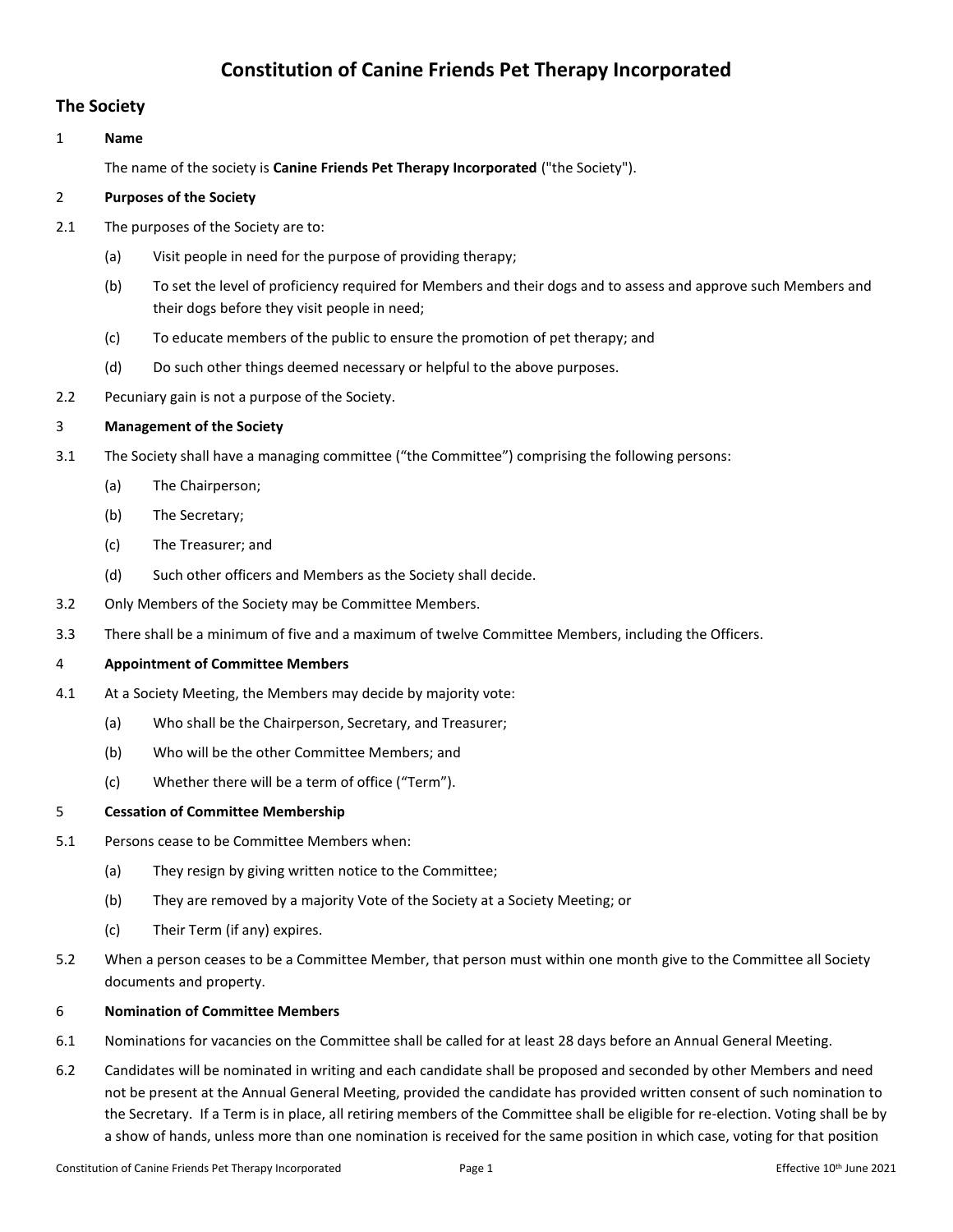# **Constitution of Canine Friends Pet Therapy Incorporated**

### **The Society**

#### 1 **Name**

The name of the society is **Canine Friends Pet Therapy Incorporated** ("the Society").

#### 2 **Purposes of the Society**

- 2.1 The purposes of the Society are to:
	- (a) Visit people in need for the purpose of providing therapy;
	- (b) To set the level of proficiency required for Members and their dogs and to assess and approve such Members and their dogs before they visit people in need;
	- (c) To educate members of the public to ensure the promotion of pet therapy; and
	- (d) Do such other things deemed necessary or helpful to the above purposes.
- 2.2 Pecuniary gain is not a purpose of the Society.

#### 3 **Management of the Society**

- 3.1 The Society shall have a managing committee ("the Committee") comprising the following persons:
	- (a) The Chairperson;
	- (b) The Secretary;
	- (c) The Treasurer; and
	- (d) Such other officers and Members as the Society shall decide.
- 3.2 Only Members of the Society may be Committee Members.
- 3.3 There shall be a minimum of five and a maximum of twelve Committee Members, including the Officers.

#### 4 **Appointment of Committee Members**

- 4.1 At a Society Meeting, the Members may decide by majority vote:
	- (a) Who shall be the Chairperson, Secretary, and Treasurer;
	- (b) Who will be the other Committee Members; and
	- (c) Whether there will be a term of office ("Term").

#### 5 **Cessation of Committee Membership**

- 5.1 Persons cease to be Committee Members when:
	- (a) They resign by giving written notice to the Committee;
	- (b) They are removed by a majority Vote of the Society at a Society Meeting; or
	- (c) Their Term (if any) expires.
- 5.2 When a person ceases to be a Committee Member, that person must within one month give to the Committee all Society documents and property.

#### 6 **Nomination of Committee Members**

- 6.1 Nominations for vacancies on the Committee shall be called for at least 28 days before an Annual General Meeting.
- 6.2 Candidates will be nominated in writing and each candidate shall be proposed and seconded by other Members and need not be present at the Annual General Meeting, provided the candidate has provided written consent of such nomination to the Secretary. If a Term is in place, all retiring members of the Committee shall be eligible for re-election. Voting shall be by a show of hands, unless more than one nomination is received for the same position in which case, voting for that position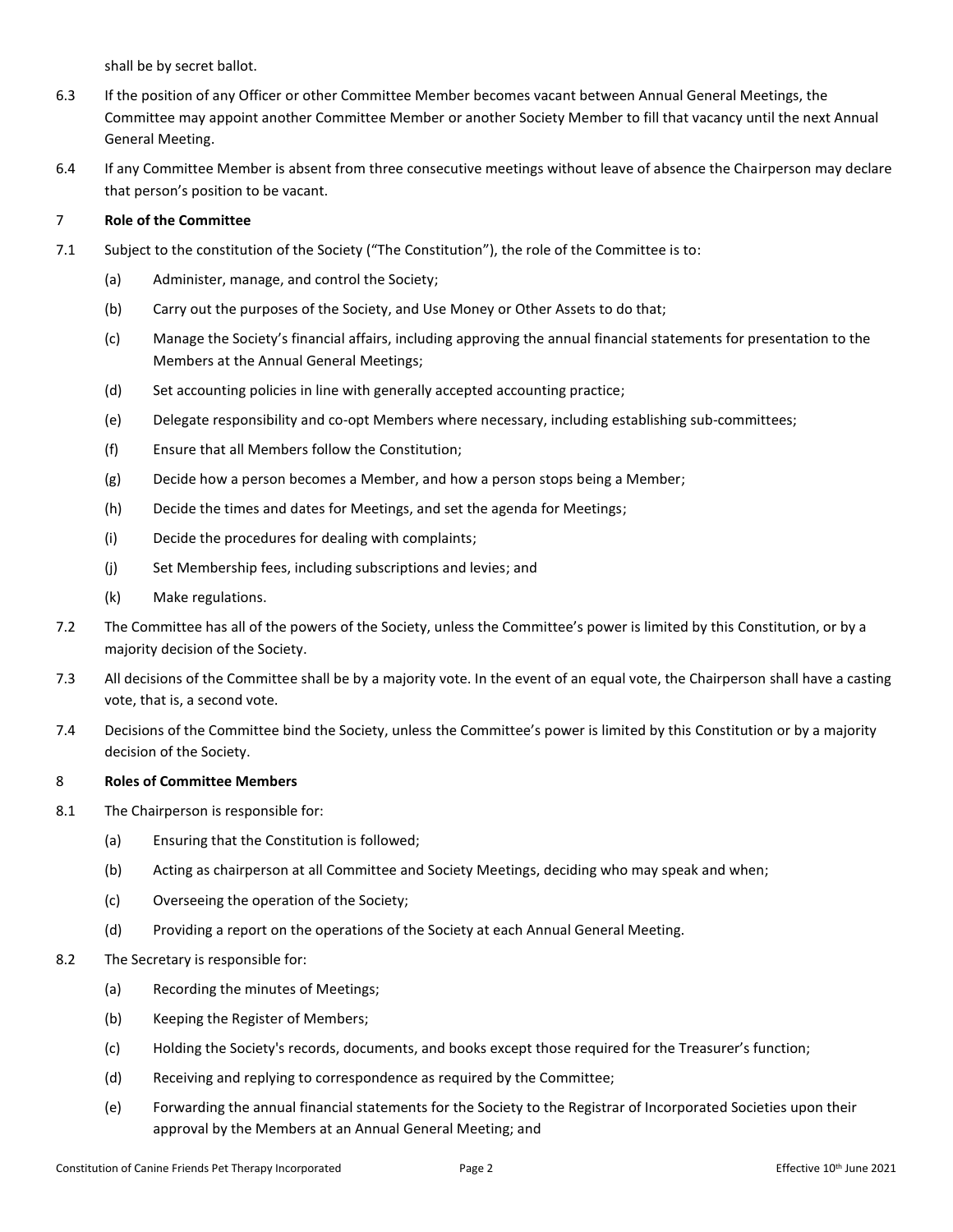shall be by secret ballot.

- 6.3 If the position of any Officer or other Committee Member becomes vacant between Annual General Meetings, the Committee may appoint another Committee Member or another Society Member to fill that vacancy until the next Annual General Meeting.
- 6.4 If any Committee Member is absent from three consecutive meetings without leave of absence the Chairperson may declare that person's position to be vacant.

#### 7 **Role of the Committee**

- 7.1 Subject to the constitution of the Society ("The Constitution"), the role of the Committee is to:
	- (a) Administer, manage, and control the Society;
	- (b) Carry out the purposes of the Society, and Use Money or Other Assets to do that;
	- (c) Manage the Society's financial affairs, including approving the annual financial statements for presentation to the Members at the Annual General Meetings;
	- (d) Set accounting policies in line with generally accepted accounting practice;
	- (e) Delegate responsibility and co-opt Members where necessary, including establishing sub-committees;
	- (f) Ensure that all Members follow the Constitution;
	- (g) Decide how a person becomes a Member, and how a person stops being a Member;
	- (h) Decide the times and dates for Meetings, and set the agenda for Meetings;
	- (i) Decide the procedures for dealing with complaints;
	- (j) Set Membership fees, including subscriptions and levies; and
	- (k) Make regulations.
- 7.2 The Committee has all of the powers of the Society, unless the Committee's power is limited by this Constitution, or by a majority decision of the Society.
- 7.3 All decisions of the Committee shall be by a majority vote. In the event of an equal vote, the Chairperson shall have a casting vote, that is, a second vote.
- 7.4 Decisions of the Committee bind the Society, unless the Committee's power is limited by this Constitution or by a majority decision of the Society.

#### 8 **Roles of Committee Members**

- 8.1 The Chairperson is responsible for:
	- (a) Ensuring that the Constitution is followed;
	- (b) Acting as chairperson at all Committee and Society Meetings, deciding who may speak and when;
	- (c) Overseeing the operation of the Society;
	- (d) Providing a report on the operations of the Society at each Annual General Meeting.
- 8.2 The Secretary is responsible for:
	- (a) Recording the minutes of Meetings;
	- (b) Keeping the Register of Members;
	- (c) Holding the Society's records, documents, and books except those required for the Treasurer's function;
	- (d) Receiving and replying to correspondence as required by the Committee;
	- (e) Forwarding the annual financial statements for the Society to the Registrar of Incorporated Societies upon their approval by the Members at an Annual General Meeting; and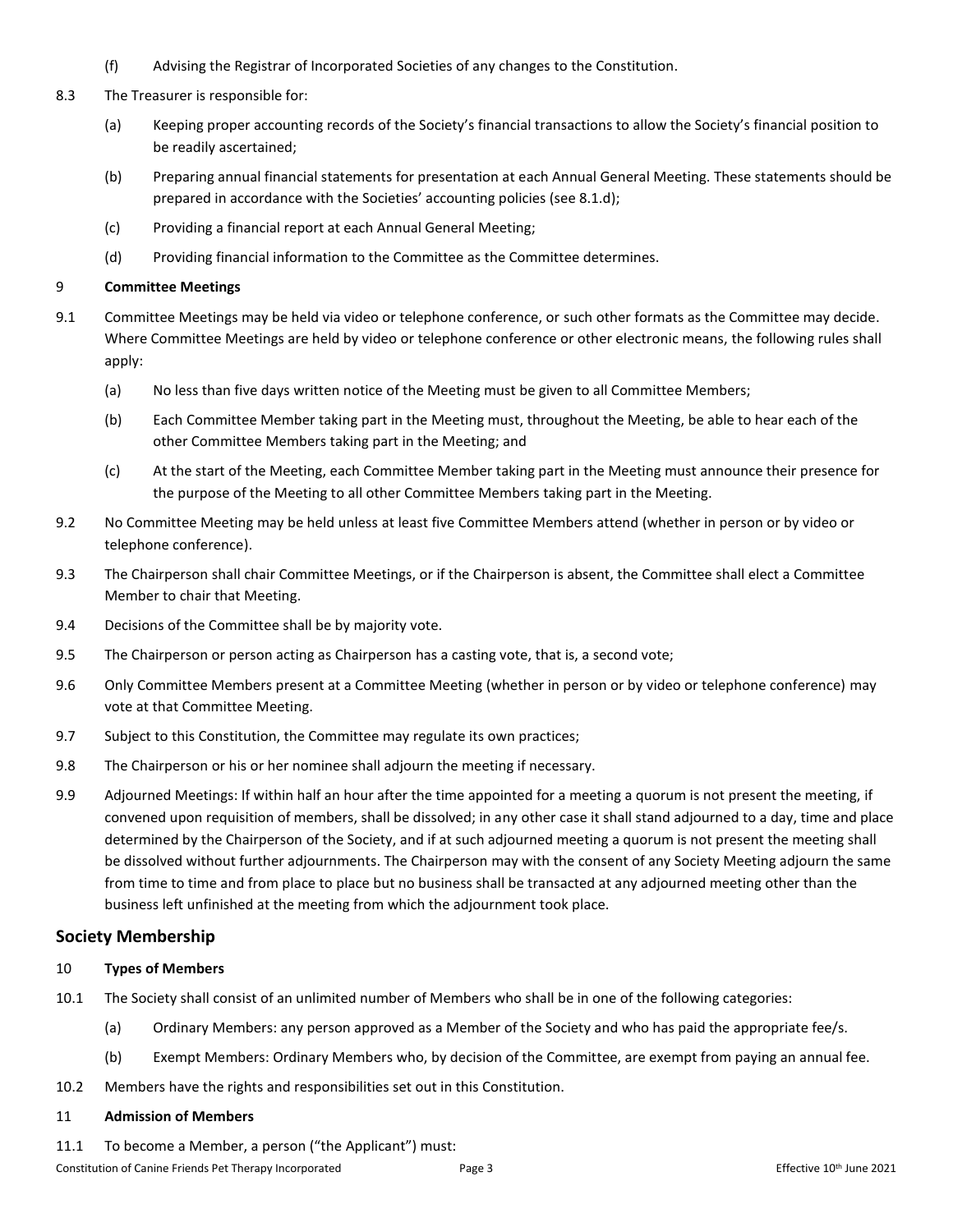- (f) Advising the Registrar of Incorporated Societies of any changes to the Constitution.
- 8.3 The Treasurer is responsible for:
	- (a) Keeping proper accounting records of the Society's financial transactions to allow the Society's financial position to be readily ascertained;
	- (b) Preparing annual financial statements for presentation at each Annual General Meeting. These statements should be prepared in accordance with the Societies' accounting policies (see 8.1.d);
	- (c) Providing a financial report at each Annual General Meeting;
	- (d) Providing financial information to the Committee as the Committee determines.

#### 9 **Committee Meetings**

- 9.1 Committee Meetings may be held via video or telephone conference, or such other formats as the Committee may decide. Where Committee Meetings are held by video or telephone conference or other electronic means, the following rules shall apply:
	- (a) No less than five days written notice of the Meeting must be given to all Committee Members;
	- (b) Each Committee Member taking part in the Meeting must, throughout the Meeting, be able to hear each of the other Committee Members taking part in the Meeting; and
	- (c) At the start of the Meeting, each Committee Member taking part in the Meeting must announce their presence for the purpose of the Meeting to all other Committee Members taking part in the Meeting.
- 9.2 No Committee Meeting may be held unless at least five Committee Members attend (whether in person or by video or telephone conference).
- 9.3 The Chairperson shall chair Committee Meetings, or if the Chairperson is absent, the Committee shall elect a Committee Member to chair that Meeting.
- 9.4 Decisions of the Committee shall be by majority vote.
- 9.5 The Chairperson or person acting as Chairperson has a casting vote, that is, a second vote;
- 9.6 Only Committee Members present at a Committee Meeting (whether in person or by video or telephone conference) may vote at that Committee Meeting.
- 9.7 Subject to this Constitution, the Committee may regulate its own practices;
- 9.8 The Chairperson or his or her nominee shall adjourn the meeting if necessary.
- 9.9 Adjourned Meetings: If within half an hour after the time appointed for a meeting a quorum is not present the meeting, if convened upon requisition of members, shall be dissolved; in any other case it shall stand adjourned to a day, time and place determined by the Chairperson of the Society, and if at such adjourned meeting a quorum is not present the meeting shall be dissolved without further adjournments. The Chairperson may with the consent of any Society Meeting adjourn the same from time to time and from place to place but no business shall be transacted at any adjourned meeting other than the business left unfinished at the meeting from which the adjournment took place.

### **Society Membership**

#### 10 **Types of Members**

- 10.1 The Society shall consist of an unlimited number of Members who shall be in one of the following categories:
	- (a) Ordinary Members: any person approved as a Member of the Society and who has paid the appropriate fee/s.
	- (b) Exempt Members: Ordinary Members who, by decision of the Committee, are exempt from paying an annual fee.
- 10.2 Members have the rights and responsibilities set out in this Constitution.

#### 11 **Admission of Members**

11.1 To become a Member, a person ("the Applicant") must: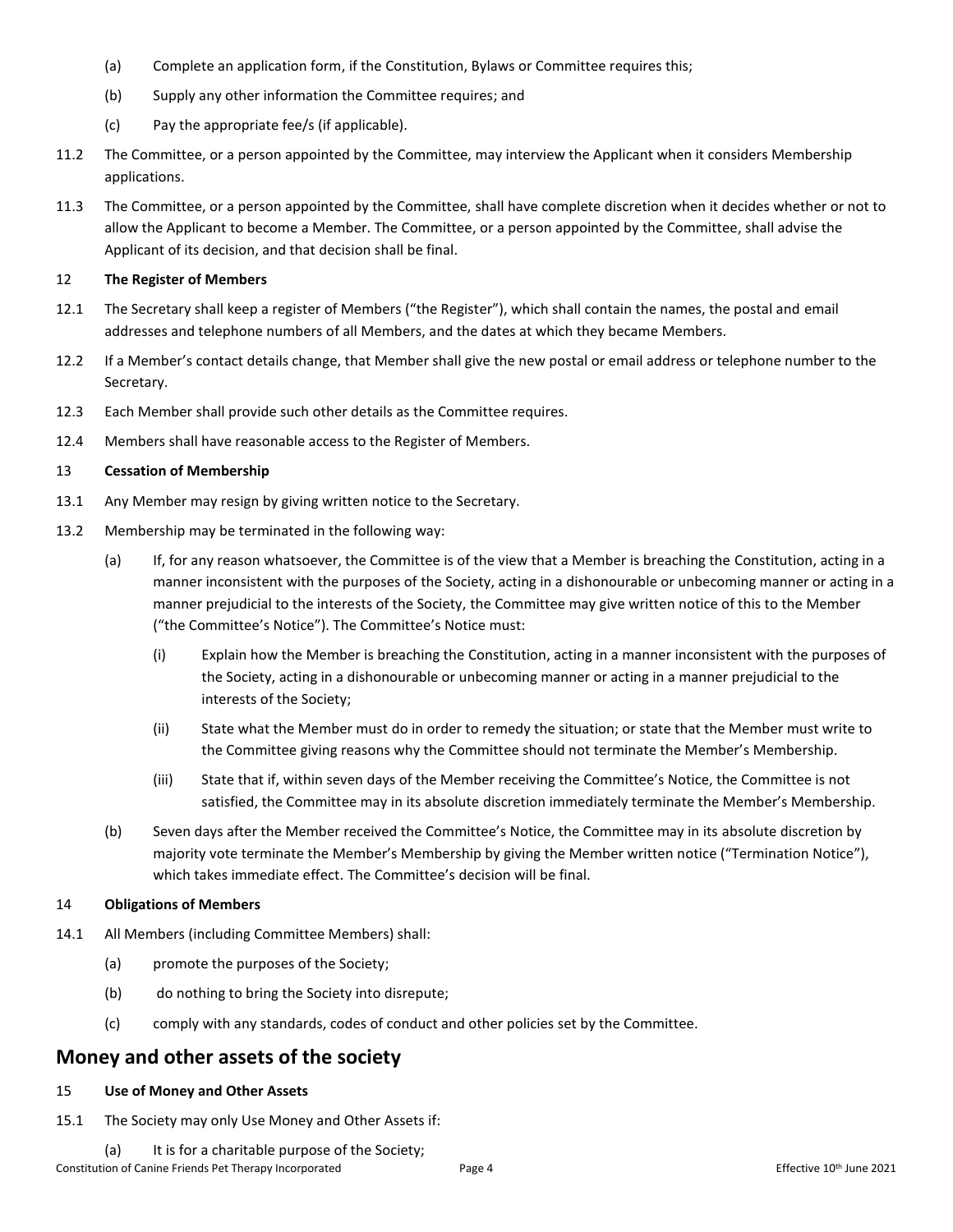- (a) Complete an application form, if the Constitution, Bylaws or Committee requires this;
- (b) Supply any other information the Committee requires; and
- (c) Pay the appropriate fee/s (if applicable).
- 11.2 The Committee, or a person appointed by the Committee, may interview the Applicant when it considers Membership applications.
- 11.3 The Committee, or a person appointed by the Committee, shall have complete discretion when it decides whether or not to allow the Applicant to become a Member. The Committee, or a person appointed by the Committee, shall advise the Applicant of its decision, and that decision shall be final.

#### 12 **The Register of Members**

- 12.1 The Secretary shall keep a register of Members ("the Register"), which shall contain the names, the postal and email addresses and telephone numbers of all Members, and the dates at which they became Members.
- 12.2 If a Member's contact details change, that Member shall give the new postal or email address or telephone number to the Secretary.
- 12.3 Each Member shall provide such other details as the Committee requires.
- 12.4 Members shall have reasonable access to the Register of Members.

#### 13 **Cessation of Membership**

- 13.1 Any Member may resign by giving written notice to the Secretary.
- 13.2 Membership may be terminated in the following way:
	- (a) If, for any reason whatsoever, the Committee is of the view that a Member is breaching the Constitution, acting in a manner inconsistent with the purposes of the Society, acting in a dishonourable or unbecoming manner or acting in a manner prejudicial to the interests of the Society, the Committee may give written notice of this to the Member ("the Committee's Notice"). The Committee's Notice must:
		- (i) Explain how the Member is breaching the Constitution, acting in a manner inconsistent with the purposes of the Society, acting in a dishonourable or unbecoming manner or acting in a manner prejudicial to the interests of the Society;
		- (ii) State what the Member must do in order to remedy the situation; or state that the Member must write to the Committee giving reasons why the Committee should not terminate the Member's Membership.
		- (iii) State that if, within seven days of the Member receiving the Committee's Notice, the Committee is not satisfied, the Committee may in its absolute discretion immediately terminate the Member's Membership.
	- (b) Seven days after the Member received the Committee's Notice, the Committee may in its absolute discretion by majority vote terminate the Member's Membership by giving the Member written notice ("Termination Notice"), which takes immediate effect. The Committee's decision will be final.

#### 14 **Obligations of Members**

- 14.1 All Members (including Committee Members) shall:
	- (a) promote the purposes of the Society;
	- (b) do nothing to bring the Society into disrepute;
	- (c) comply with any standards, codes of conduct and other policies set by the Committee.

## **Money and other assets of the society**

#### 15 **Use of Money and Other Assets**

- 15.1 The Society may only Use Money and Other Assets if:
	- (a) It is for a charitable purpose of the Society;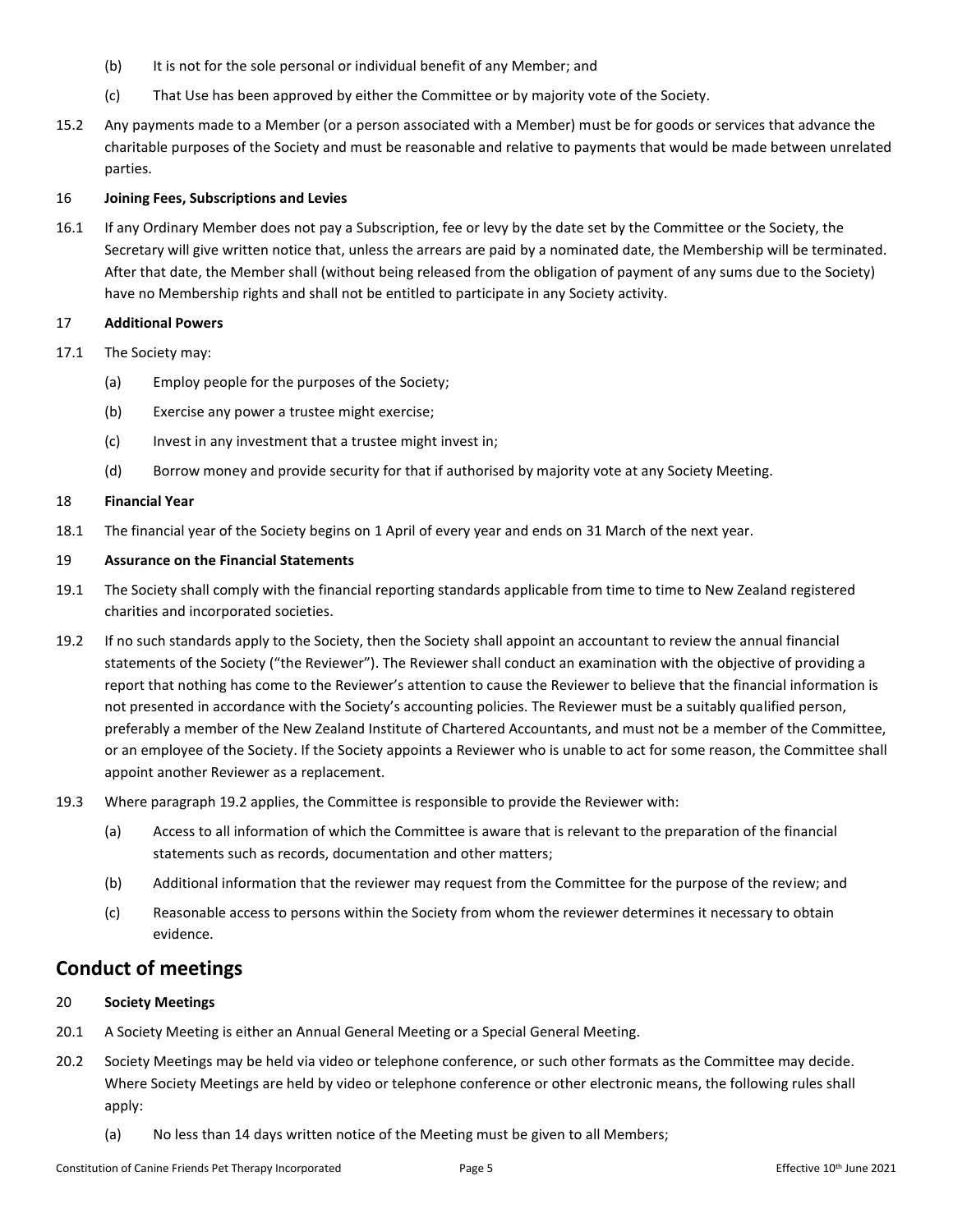- (b) It is not for the sole personal or individual benefit of any Member; and
- (c) That Use has been approved by either the Committee or by majority vote of the Society.
- 15.2 Any payments made to a Member (or a person associated with a Member) must be for goods or services that advance the charitable purposes of the Society and must be reasonable and relative to payments that would be made between unrelated parties.

#### 16 **Joining Fees, Subscriptions and Levies**

16.1 If any Ordinary Member does not pay a Subscription, fee or levy by the date set by the Committee or the Society, the Secretary will give written notice that, unless the arrears are paid by a nominated date, the Membership will be terminated. After that date, the Member shall (without being released from the obligation of payment of any sums due to the Society) have no Membership rights and shall not be entitled to participate in any Society activity.

#### 17 **Additional Powers**

- 17.1 The Society may:
	- (a) Employ people for the purposes of the Society;
	- (b) Exercise any power a trustee might exercise;
	- (c) Invest in any investment that a trustee might invest in;
	- (d) Borrow money and provide security for that if authorised by majority vote at any Society Meeting.

#### 18 **Financial Year**

18.1 The financial year of the Society begins on 1 April of every year and ends on 31 March of the next year.

#### 19 **Assurance on the Financial Statements**

- 19.1 The Society shall comply with the financial reporting standards applicable from time to time to New Zealand registered charities and incorporated societies.
- <span id="page-4-0"></span>19.2 If no such standards apply to the Society, then the Society shall appoint an accountant to review the annual financial statements of the Society ("the Reviewer"). The Reviewer shall conduct an examination with the objective of providing a report that nothing has come to the Reviewer's attention to cause the Reviewer to believe that the financial information is not presented in accordance with the Society's accounting policies. The Reviewer must be a suitably qualified person, preferably a member of the New Zealand Institute of Chartered Accountants, and must not be a member of the Committee, or an employee of the Society. If the Society appoints a Reviewer who is unable to act for some reason, the Committee shall appoint another Reviewer as a replacement.
- 19.3 Where paragraph [19.2](#page-4-0) applies, the Committee is responsible to provide the Reviewer with:
	- (a) Access to all information of which the Committee is aware that is relevant to the preparation of the financial statements such as records, documentation and other matters;
	- (b) Additional information that the reviewer may request from the Committee for the purpose of the review; and
	- (c) Reasonable access to persons within the Society from whom the reviewer determines it necessary to obtain evidence.

## **Conduct of meetings**

#### 20 **Society Meetings**

- 20.1 A Society Meeting is either an Annual General Meeting or a Special General Meeting.
- 20.2 Society Meetings may be held via video or telephone conference, or such other formats as the Committee may decide. Where Society Meetings are held by video or telephone conference or other electronic means, the following rules shall apply:
	- (a) No less than 14 days written notice of the Meeting must be given to all Members;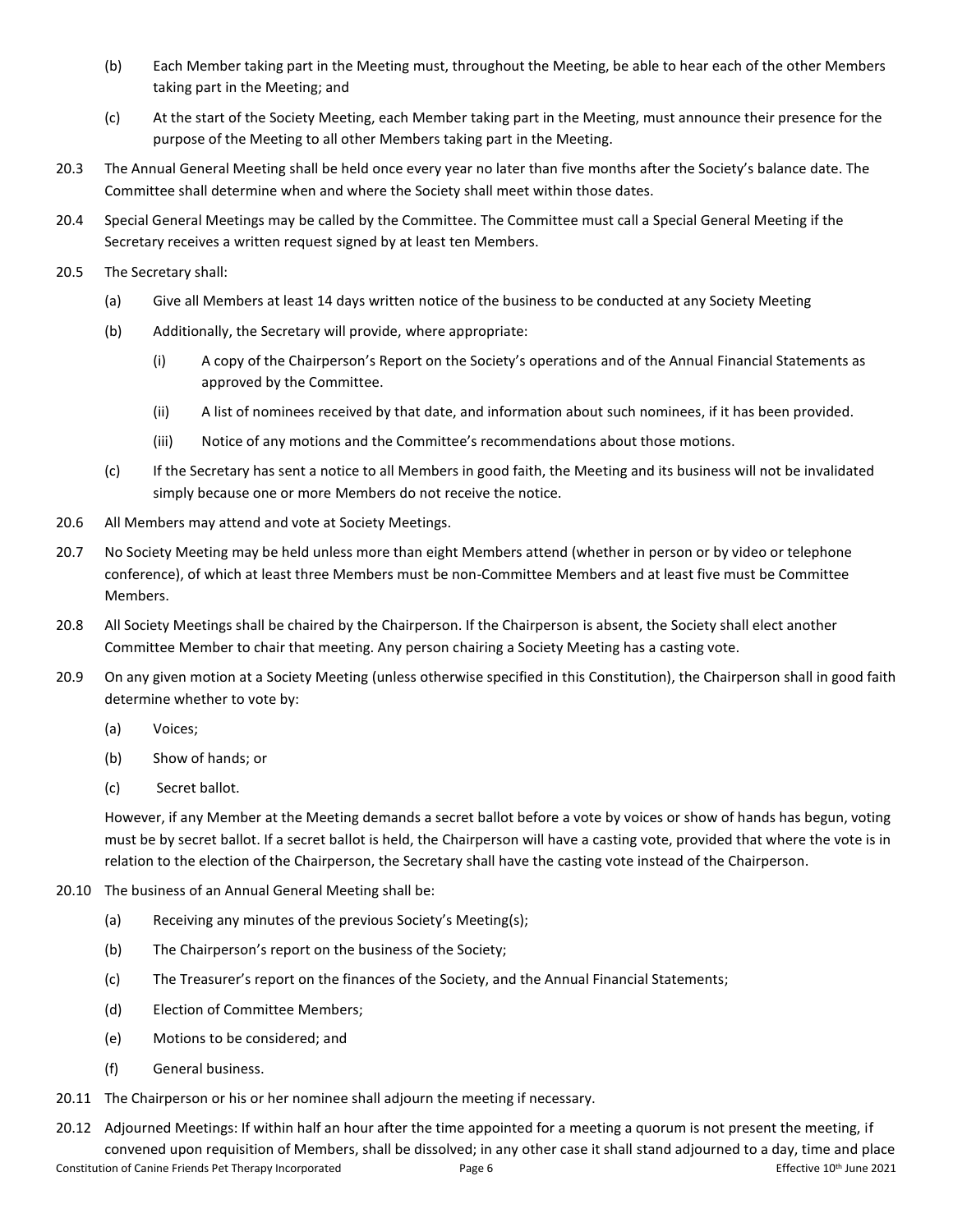- (b) Each Member taking part in the Meeting must, throughout the Meeting, be able to hear each of the other Members taking part in the Meeting; and
- (c) At the start of the Society Meeting, each Member taking part in the Meeting, must announce their presence for the purpose of the Meeting to all other Members taking part in the Meeting.
- 20.3 The Annual General Meeting shall be held once every year no later than five months after the Society's balance date. The Committee shall determine when and where the Society shall meet within those dates.
- 20.4 Special General Meetings may be called by the Committee. The Committee must call a Special General Meeting if the Secretary receives a written request signed by at least ten Members.
- 20.5 The Secretary shall:
	- (a) Give all Members at least 14 days written notice of the business to be conducted at any Society Meeting
	- (b) Additionally, the Secretary will provide, where appropriate:
		- (i) A copy of the Chairperson's Report on the Society's operations and of the Annual Financial Statements as approved by the Committee.
		- (ii) A list of nominees received by that date, and information about such nominees, if it has been provided.
		- (iii) Notice of any motions and the Committee's recommendations about those motions.
	- (c) If the Secretary has sent a notice to all Members in good faith, the Meeting and its business will not be invalidated simply because one or more Members do not receive the notice.
- 20.6 All Members may attend and vote at Society Meetings.
- 20.7 No Society Meeting may be held unless more than eight Members attend (whether in person or by video or telephone conference), of which at least three Members must be non-Committee Members and at least five must be Committee Members.
- 20.8 All Society Meetings shall be chaired by the Chairperson. If the Chairperson is absent, the Society shall elect another Committee Member to chair that meeting. Any person chairing a Society Meeting has a casting vote.
- 20.9 On any given motion at a Society Meeting (unless otherwise specified in this Constitution), the Chairperson shall in good faith determine whether to vote by:
	- (a) Voices;
	- (b) Show of hands; or
	- (c) Secret ballot.

However, if any Member at the Meeting demands a secret ballot before a vote by voices or show of hands has begun, voting must be by secret ballot. If a secret ballot is held, the Chairperson will have a casting vote, provided that where the vote is in relation to the election of the Chairperson, the Secretary shall have the casting vote instead of the Chairperson.

- 20.10 The business of an Annual General Meeting shall be:
	- (a) Receiving any minutes of the previous Society's Meeting(s);
	- (b) The Chairperson's report on the business of the Society;
	- (c) The Treasurer's report on the finances of the Society, and the Annual Financial Statements;
	- (d) Election of Committee Members;
	- (e) Motions to be considered; and
	- (f) General business.
- 20.11 The Chairperson or his or her nominee shall adjourn the meeting if necessary.
- Constitution of Canine Friends Pet Therapy Incorporated Page 6 Effective 10<sup>th</sup> June 2021 20.12 Adjourned Meetings: If within half an hour after the time appointed for a meeting a quorum is not present the meeting, if convened upon requisition of Members, shall be dissolved; in any other case it shall stand adjourned to a day, time and place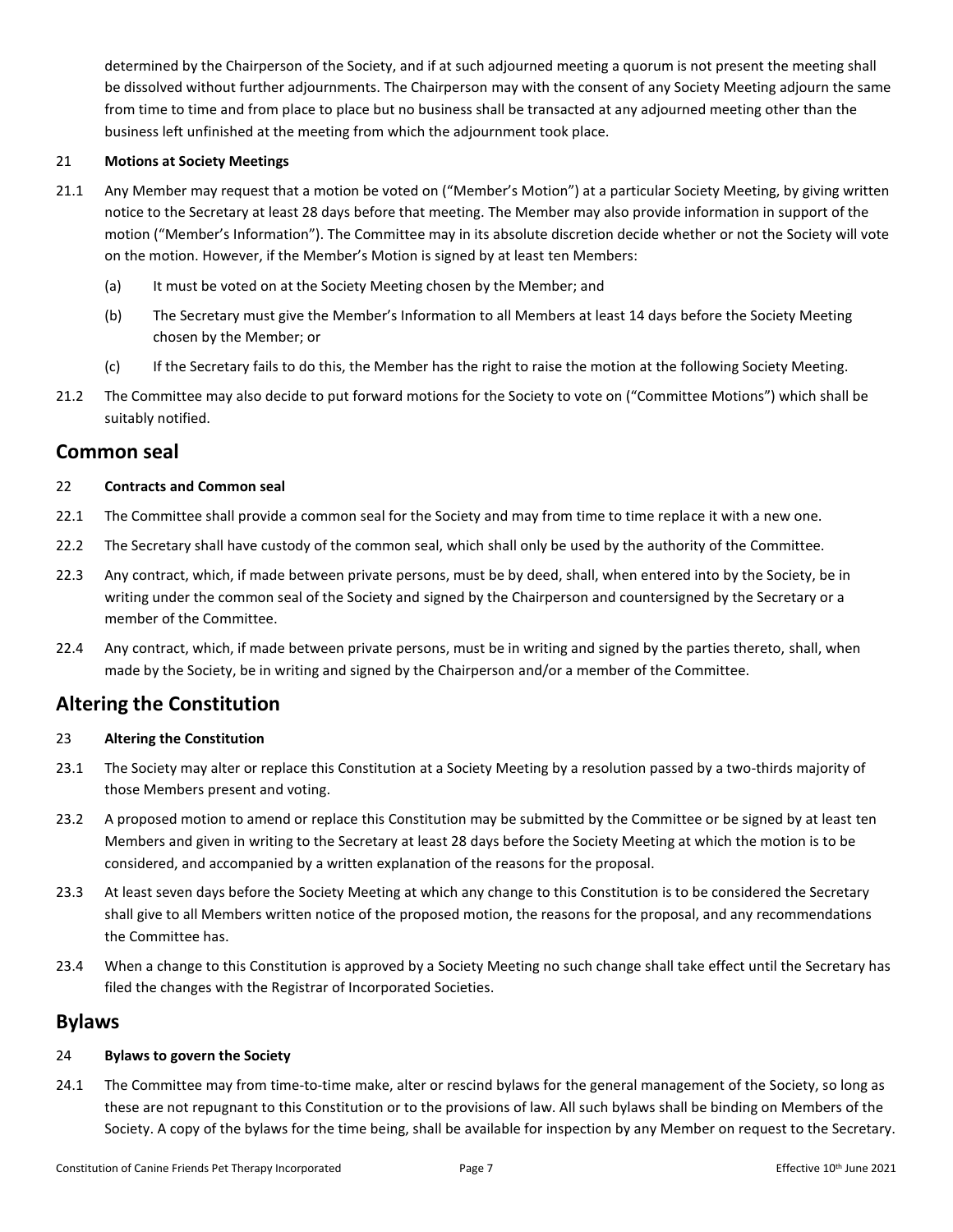determined by the Chairperson of the Society, and if at such adjourned meeting a quorum is not present the meeting shall be dissolved without further adjournments. The Chairperson may with the consent of any Society Meeting adjourn the same from time to time and from place to place but no business shall be transacted at any adjourned meeting other than the business left unfinished at the meeting from which the adjournment took place.

#### 21 **Motions at Society Meetings**

- 21.1 Any Member may request that a motion be voted on ("Member's Motion") at a particular Society Meeting, by giving written notice to the Secretary at least 28 days before that meeting. The Member may also provide information in support of the motion ("Member's Information"). The Committee may in its absolute discretion decide whether or not the Society will vote on the motion. However, if the Member's Motion is signed by at least ten Members:
	- (a) It must be voted on at the Society Meeting chosen by the Member; and
	- (b) The Secretary must give the Member's Information to all Members at least 14 days before the Society Meeting chosen by the Member; or
	- (c) If the Secretary fails to do this, the Member has the right to raise the motion at the following Society Meeting.
- 21.2 The Committee may also decide to put forward motions for the Society to vote on ("Committee Motions") which shall be suitably notified.

## **Common seal**

#### 22 **Contracts and Common seal**

- 22.1 The Committee shall provide a common seal for the Society and may from time to time replace it with a new one.
- 22.2 The Secretary shall have custody of the common seal, which shall only be used by the authority of the Committee.
- 22.3 Any contract, which, if made between private persons, must be by deed, shall, when entered into by the Society, be in writing under the common seal of the Society and signed by the Chairperson and countersigned by the Secretary or a member of the Committee.
- 22.4 Any contract, which, if made between private persons, must be in writing and signed by the parties thereto, shall, when made by the Society, be in writing and signed by the Chairperson and/or a member of the Committee.

# **Altering the Constitution**

#### 23 **Altering the Constitution**

- 23.1 The Society may alter or replace this Constitution at a Society Meeting by a resolution passed by a two-thirds majority of those Members present and voting.
- 23.2 A proposed motion to amend or replace this Constitution may be submitted by the Committee or be signed by at least ten Members and given in writing to the Secretary at least 28 days before the Society Meeting at which the motion is to be considered, and accompanied by a written explanation of the reasons for the proposal.
- 23.3 At least seven days before the Society Meeting at which any change to this Constitution is to be considered the Secretary shall give to all Members written notice of the proposed motion, the reasons for the proposal, and any recommendations the Committee has.
- 23.4 When a change to this Constitution is approved by a Society Meeting no such change shall take effect until the Secretary has filed the changes with the Registrar of Incorporated Societies.

### **Bylaws**

#### 24 **Bylaws to govern the Society**

24.1 The Committee may from time-to-time make, alter or rescind bylaws for the general management of the Society, so long as these are not repugnant to this Constitution or to the provisions of law. All such bylaws shall be binding on Members of the Society. A copy of the bylaws for the time being, shall be available for inspection by any Member on request to the Secretary.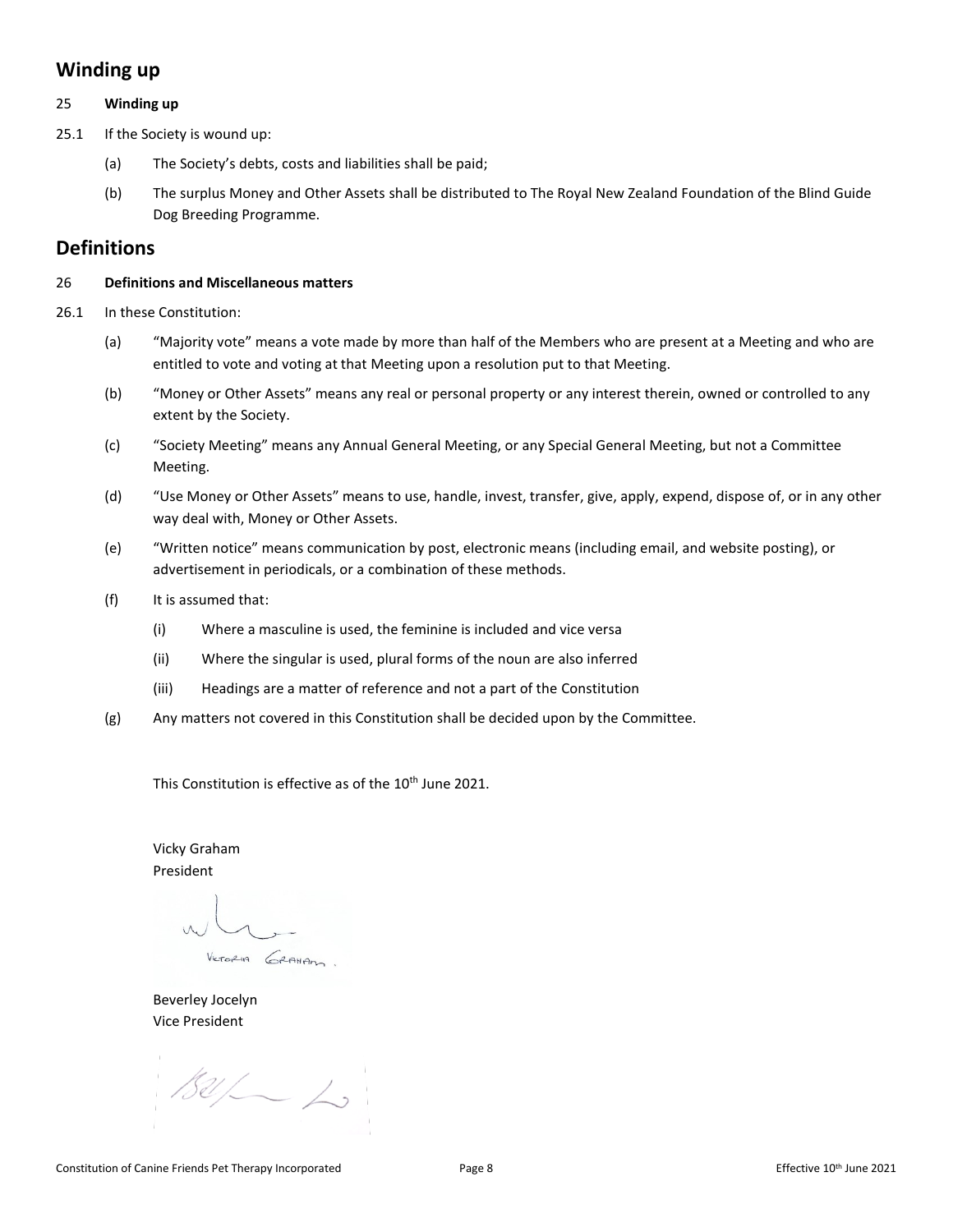# **Winding up**

#### 25 **Winding up**

25.1 If the Society is wound up:

- (a) The Society's debts, costs and liabilities shall be paid;
- (b) The surplus Money and Other Assets shall be distributed to The Royal New Zealand Foundation of the Blind Guide Dog Breeding Programme.

## **Definitions**

#### 26 **Definitions and Miscellaneous matters**

- 26.1 In these Constitution:
	- (a) "Majority vote" means a vote made by more than half of the Members who are present at a Meeting and who are entitled to vote and voting at that Meeting upon a resolution put to that Meeting.
	- (b) "Money or Other Assets" means any real or personal property or any interest therein, owned or controlled to any extent by the Society.
	- (c) "Society Meeting" means any Annual General Meeting, or any Special General Meeting, but not a Committee Meeting.
	- (d) "Use Money or Other Assets" means to use, handle, invest, transfer, give, apply, expend, dispose of, or in any other way deal with, Money or Other Assets.
	- (e) "Written notice" means communication by post, electronic means (including email, and website posting), or advertisement in periodicals, or a combination of these methods.
	- (f) It is assumed that:
		- (i) Where a masculine is used, the feminine is included and vice versa
		- (ii) Where the singular is used, plural forms of the noun are also inferred
		- (iii) Headings are a matter of reference and not a part of the Constitution
	- (g) Any matters not covered in this Constitution shall be decided upon by the Committee.

This Constitution is effective as of the 10<sup>th</sup> June 2021.

Vicky Graham President

VICTORIA GRAHAM

Beverley Jocelyn Vice President

 $182/10$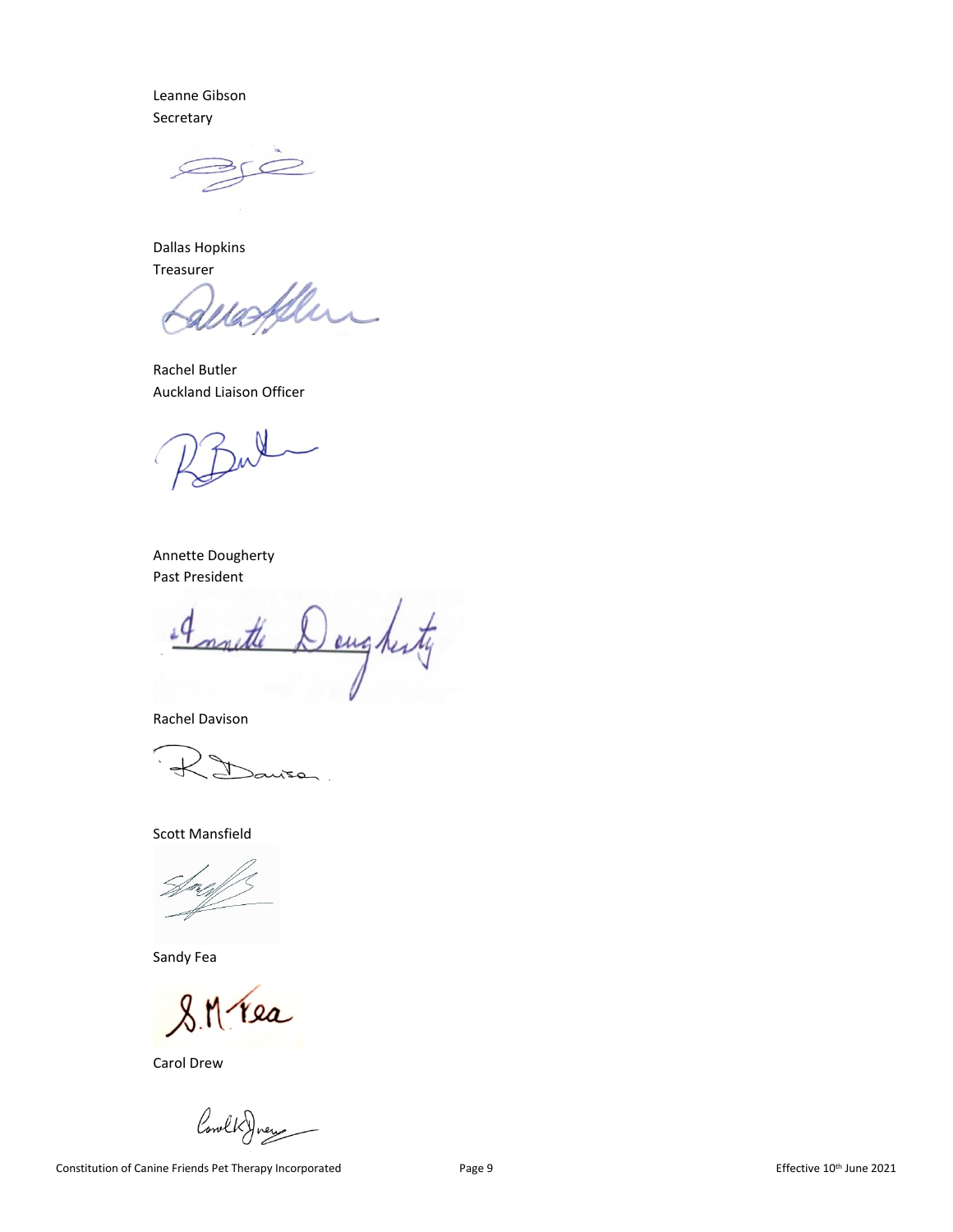Leanne Gibson Secretary

Dallas Hopkins Treasurer

Rachel Butler Auckland Liaison Officer

Annette Dougherty Past President

ougherty d

Rachel Davison

 $150$ 

Scott Mansfield

Sandy Fea

 $8.11$ rea

Carol Drew

Cowl

Constitution of Canine Friends Pet Therapy Incorporated Page 9